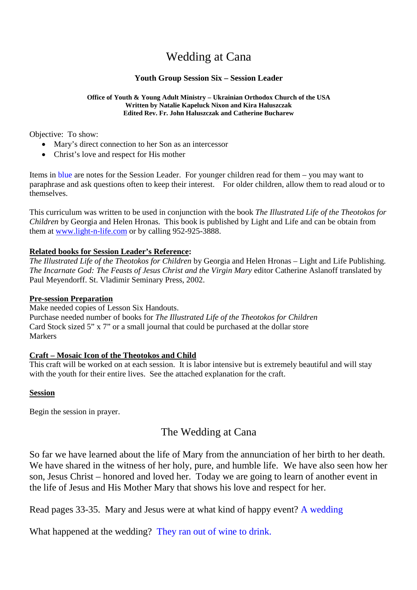# Wedding at Cana

### **Youth Group Session Six – Session Leader**

#### **Office of Youth & Young Adult Ministry – Ukrainian Orthodox Church of the USA Written by Natalie Kapeluck Nixon and Kira Haluszczak Edited Rev. Fr. John Haluszczak and Catherine Bucharew**

Objective: To show:

- Mary's direct connection to her Son as an intercessor
- Christ's love and respect for His mother

Items in blue are notes for the Session Leader. For younger children read for them – you may want to paraphrase and ask questions often to keep their interest. For older children, allow them to read aloud or to themselves.

This curriculum was written to be used in conjunction with the book *The Illustrated Life of the Theotokos for Children* by Georgia and Helen Hronas. This book is published by Light and Life and can be obtain from them at www.light-n-life.com or by calling 952-925-3888.

#### **Related books for Session Leader's Reference:**

*The Illustrated Life of the Theotokos for Children* by Georgia and Helen Hronas – Light and Life Publishing. *The Incarnate God: The Feasts of Jesus Christ and the Virgin Mary* editor Catherine Aslanoff translated by Paul Meyendorff. St. Vladimir Seminary Press, 2002.

#### **Pre-session Preparation**

Make needed copies of Lesson Six Handouts.

Purchase needed number of books for *The Illustrated Life of the Theotokos for Children* Card Stock sized 5" x 7" or a small journal that could be purchased at the dollar store Markers

#### **Craft – Mosaic Icon of the Theotokos and Child**

This craft will be worked on at each session. It is labor intensive but is extremely beautiful and will stay with the youth for their entire lives. See the attached explanation for the craft.

#### **Session**

Begin the session in prayer.

## The Wedding at Cana

So far we have learned about the life of Mary from the annunciation of her birth to her death. We have shared in the witness of her holy, pure, and humble life. We have also seen how her son, Jesus Christ – honored and loved her. Today we are going to learn of another event in the life of Jesus and His Mother Mary that shows his love and respect for her.

Read pages 33-35. Mary and Jesus were at what kind of happy event? A wedding

What happened at the wedding? They ran out of wine to drink.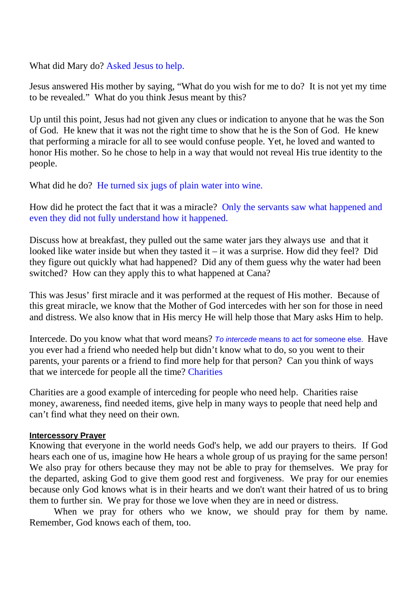What did Mary do? Asked Jesus to help.

Jesus answered His mother by saying, "What do you wish for me to do? It is not yet my time to be revealed." What do you think Jesus meant by this?

Up until this point, Jesus had not given any clues or indication to anyone that he was the Son of God. He knew that it was not the right time to show that he is the Son of God. He knew that performing a miracle for all to see would confuse people. Yet, he loved and wanted to honor His mother. So he chose to help in a way that would not reveal His true identity to the people.

What did he do? He turned six jugs of plain water into wine.

How did he protect the fact that it was a miracle? Only the servants saw what happened and even they did not fully understand how it happened.

Discuss how at breakfast, they pulled out the same water jars they always use and that it looked like water inside but when they tasted it – it was a surprise. How did they feel? Did they figure out quickly what had happened? Did any of them guess why the water had been switched? How can they apply this to what happened at Cana?

This was Jesus' first miracle and it was performed at the request of His mother. Because of this great miracle, we know that the Mother of God intercedes with her son for those in need and distress. We also know that in His mercy He will help those that Mary asks Him to help.

Intercede. Do you know what that word means? *To intercede* means to act for someone else. Have you ever had a friend who needed help but didn't know what to do, so you went to their parents, your parents or a friend to find more help for that person? Can you think of ways that we intercede for people all the time? Charities

Charities are a good example of interceding for people who need help. Charities raise money, awareness, find needed items, give help in many ways to people that need help and can't find what they need on their own.

#### **Intercessory Prayer**

Knowing that everyone in the world needs God's help, we add our prayers to theirs. If God hears each one of us, imagine how He hears a whole group of us praying for the same person! We also pray for others because they may not be able to pray for themselves. We pray for the departed, asking God to give them good rest and forgiveness. We pray for our enemies because only God knows what is in their hearts and we don't want their hatred of us to bring them to further sin. We pray for those we love when they are in need or distress.

When we pray for others who we know, we should pray for them by name. Remember, God knows each of them, too.